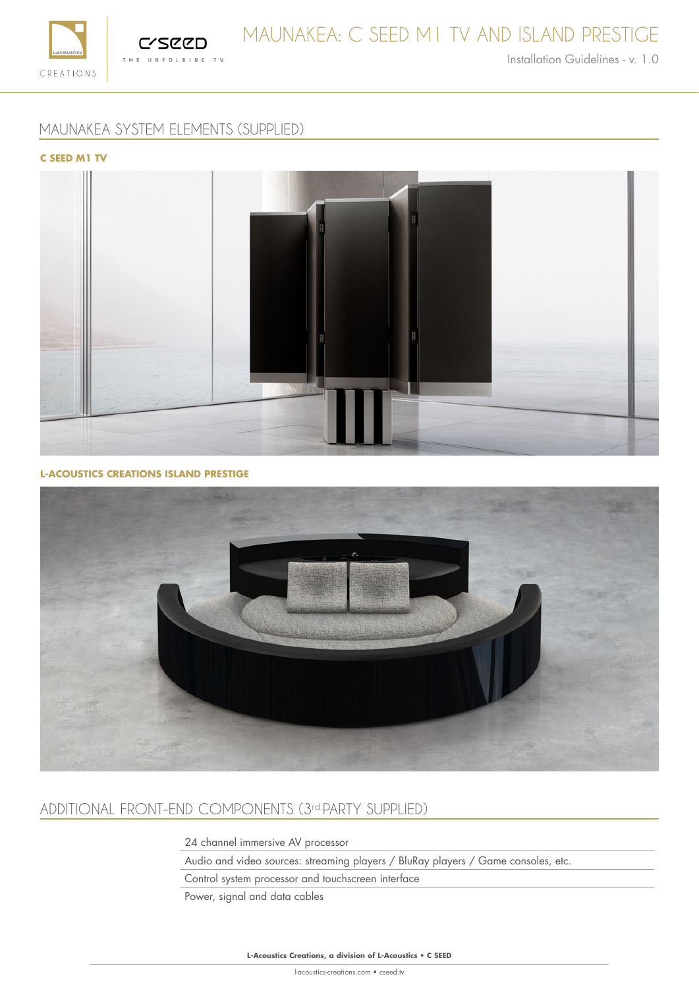



Installation Guidelines - v. 1.0

# MAUNAKEA SYSTEM ELEMENTS (SUPPLIED)

## **C SEED M1 TV**



## **L-ACOUSTICS CREATIONS ISLAND PRESTIGE**



# ADDITIONAL FRONT-END COMPONENTS (3rd PARTY SUPPLIED)

24 channel immersive AV processor

Audio and video sources: streaming players / BluRay players / Game consoles, etc.

Control system processor and touchscreen interface

Power, signal and data cables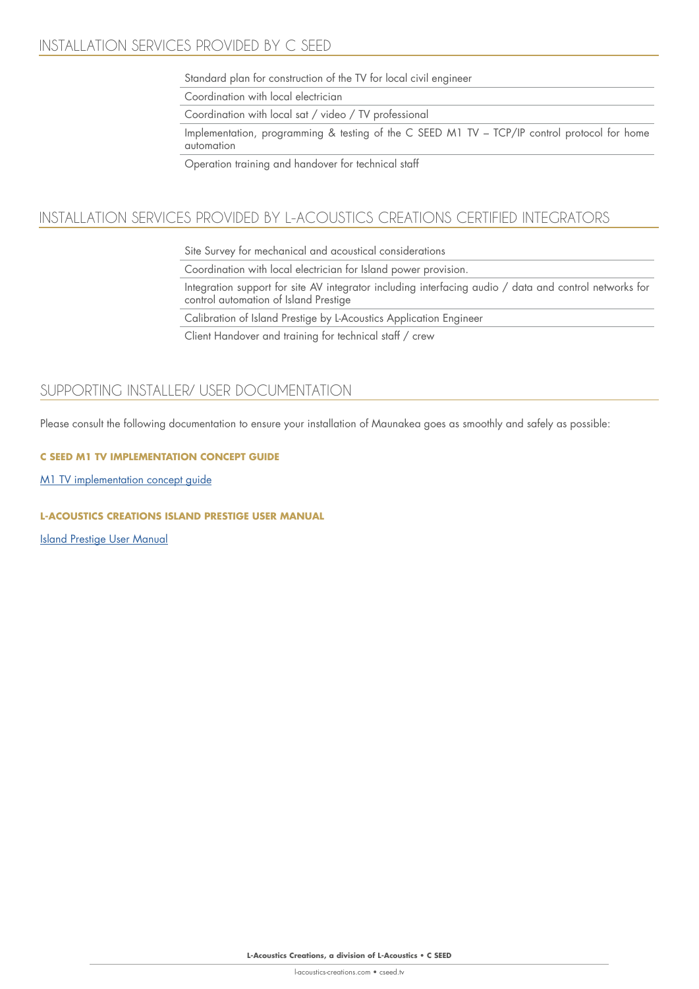Standard plan for construction of the TV for local civil engineer

Coordination with local electrician

Coordination with local sat / video / TV professional

Implementation, programming & testing of the C SEED M1 TV – TCP/IP control protocol for home automation

Operation training and handover for technical staff

# INSTALLATION SERVICES PROVIDED BY L-ACOUSTICS CREATIONS CERTIFIED INTEGRATORS

Site Survey for mechanical and acoustical considerations

Coordination with local electrician for Island power provision.

Integration support for site AV integrator including interfacing audio / data and control networks for control automation of Island Prestige

Calibration of Island Prestige by L-Acoustics Application Engineer

Client Handover and training for technical staff / crew

# SUPPORTING INSTALLER/ USER DOCUMENTATION

Please consult the following documentation to ensure your installation of Maunakea goes as smoothly and safely as possible:

## **C SEED M1 TV IMPLEMENTATION CONCEPT GUIDE**

M1 TV implementation concept guide

## **L-ACOUSTICS CREATIONS ISLAND PRESTIGE USER MANUAL**

Island Prestige User Manual

**L-Acoustics Creations, a division of L-Acoustics** • **C SEED**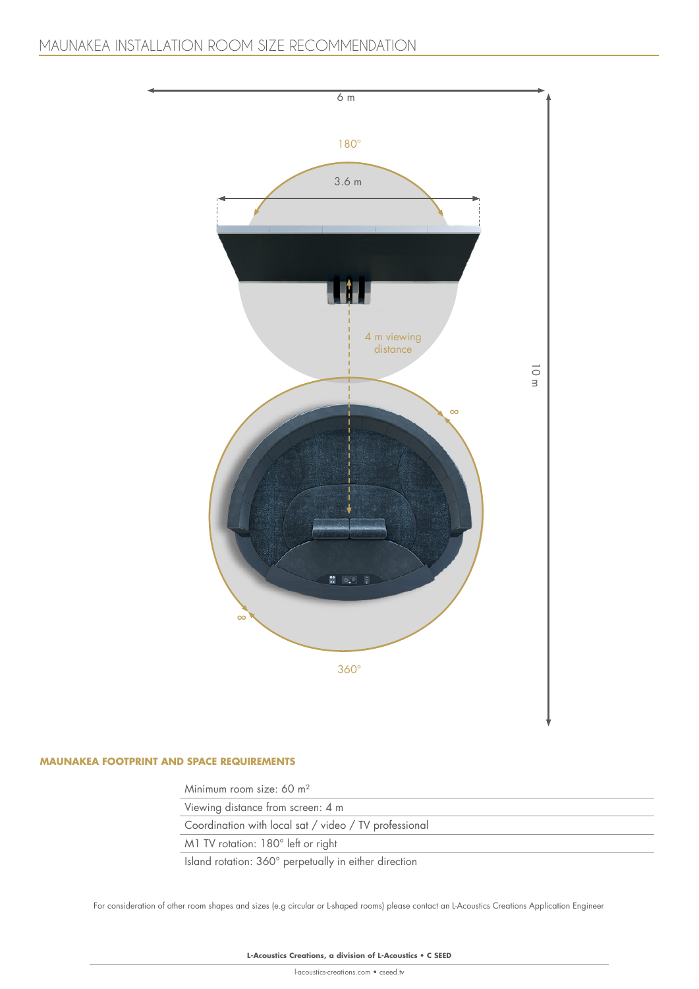

### **MAUNAKEA FOOTPRINT AND SPACE REQUIREMENTS**

Minimum room size: 60 m²

Viewing distance from screen: 4 m

Coordination with local sat / video / TV professional

M1 TV rotation: 180° left or right

Island rotation: 360° perpetually in either direction

For consideration of other room shapes and sizes (e.g circular or L-shaped rooms) please contact an L-Acoustics Creations Application Engineer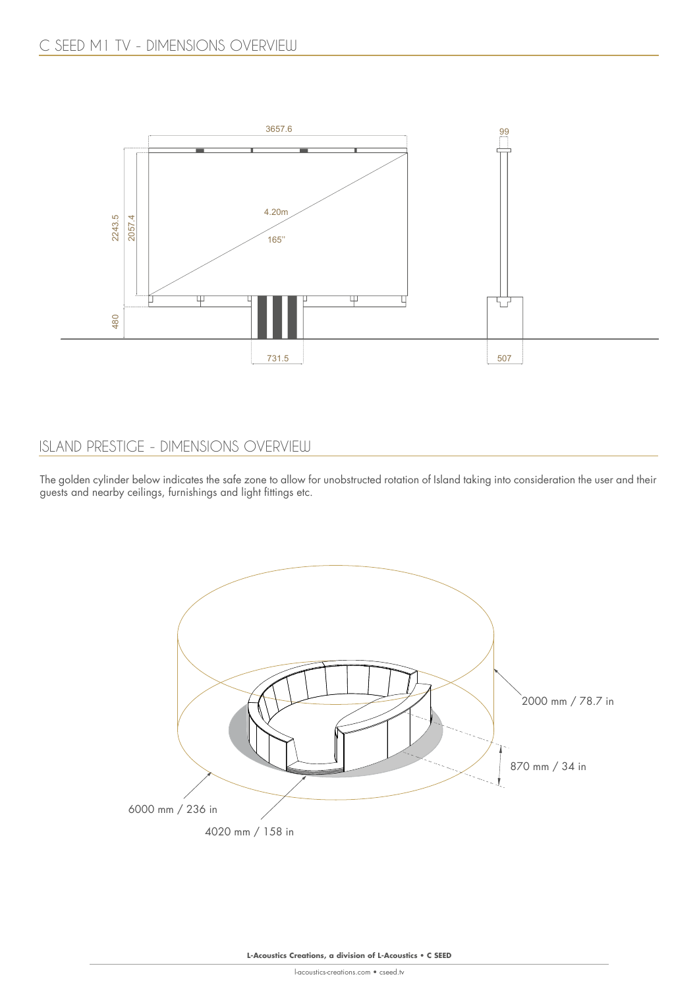

# ISLAND PRESTIGE - DIMENSIONS OVERVIEW

The golden cylinder below indicates the safe zone to allow for unobstructed rotation of Island taking into consideration the user and their guests and nearby ceilings, furnishings and light fittings etc.

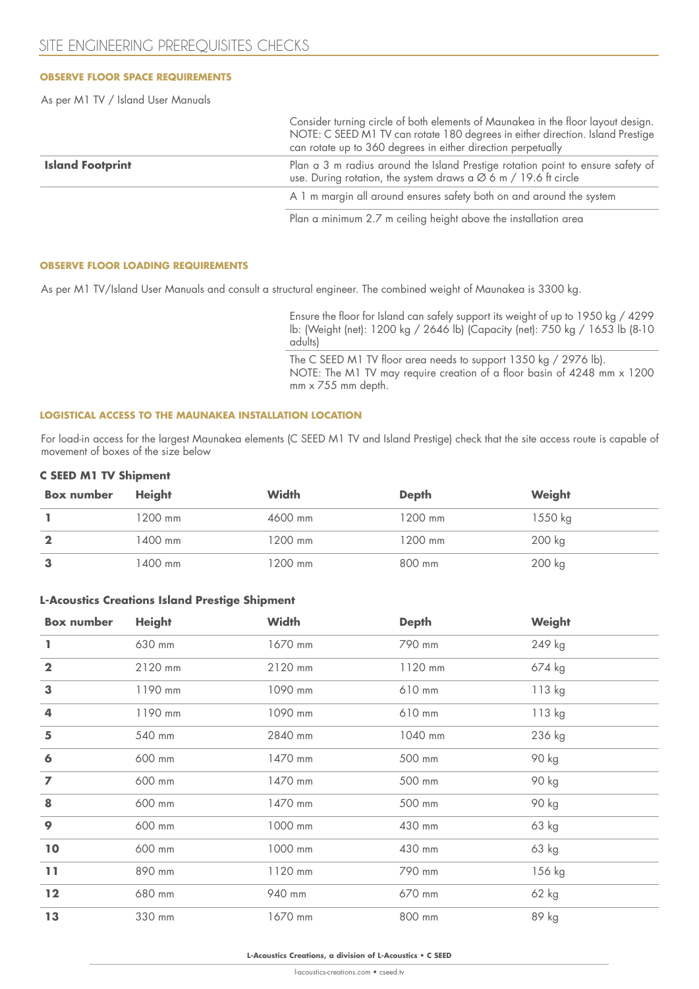## **OBSERVE FLOOR SPACE REQUIREMENTS**

As per M1 TV / Island User Manuals

|                         | Consider turning circle of both elements of Maunakea in the floor layout design.<br>NOTE: C SEED M1 TV can rotate 180 degrees in either direction. Island Prestige<br>can rotate up to 360 degrees in either direction perpetually |  |
|-------------------------|------------------------------------------------------------------------------------------------------------------------------------------------------------------------------------------------------------------------------------|--|
| <b>Island Footprint</b> | Plan a 3 m radius around the Island Prestige rotation point to ensure safety of<br>use. During rotation, the system draws a $\varnothing$ 6 m / 19.6 ft circle                                                                     |  |
|                         | A 1 m margin all around ensures safety both on and around the system                                                                                                                                                               |  |
|                         |                                                                                                                                                                                                                                    |  |

Plan a minimum 2.7 m ceiling height above the installation area

#### **OBSERVE FLOOR LOADING REQUIREMENTS**

As per M1 TV/Island User Manuals and consult a structural engineer. The combined weight of Maunakea is 3300 kg.

Ensure the floor for Island can safely support its weight of up to 1950 kg / 4299 lb: (Weight (net): 1200 kg / 2646 lb) (Capacity (net): 750 kg / 1653 lb (8-10 adults)

The C SEED M1 TV floor area needs to support 1350 kg / 2976 lb). NOTE: The M1 TV may require creation of a floor basin of 4248 mm x 1200 mm x 755 mm depth.

#### **LOGISTICAL ACCESS TO THE MAUNAKEA INSTALLATION LOCATION**

For load-in access for the largest Maunakea elements (C SEED M1 TV and Island Prestige) check that the site access route is capable of movement of boxes of the size below

#### **C SEED M1 TV Shipment**

| <b>Box number</b> | <b>Height</b> | <b>Width</b> | <b>Depth</b> | Weight  |
|-------------------|---------------|--------------|--------------|---------|
|                   | 1200 mm       | 4600 mm      | 1200 mm      | 1550 kg |
|                   | 1400 mm       | 1200 mm      | 1200 mm      | 200 kg  |
|                   | 1400 mm       | 1200 mm      | 800 mm       | 200 kg  |

#### **L-Acoustics Creations Island Prestige Shipment**

| <b>Box number</b> | <b>Height</b> | <b>Width</b> | <b>Depth</b> | Weight  |
|-------------------|---------------|--------------|--------------|---------|
|                   | 630 mm        | 1670 mm      | 790 mm       | 249 kg  |
| $\mathbf{2}$      | 2120 mm       | 2120 mm      | 1120 mm      | 674 kg  |
| 3                 | 1190 mm       | 1090 mm      | 610 mm       | 113 kg  |
| 4                 | 1190 mm       | 1090 mm      | 610 mm       | 113 kg  |
| 5                 | 540 mm        | 2840 mm      | 1040 mm      | 236 kg  |
| 6                 | 600 mm        | 1470 mm      | 500 mm       | 90 kg   |
| $\overline{ }$    | 600 mm        | 1470 mm      | 500 mm       | 90 kg   |
| 8                 | 600 mm        | 1470 mm      | 500 mm       | 90 kg   |
| 9                 | 600 mm        | 1000 mm      | 430 mm       | 63 kg   |
| 10                | 600 mm        | 1000 mm      | 430 mm       | 63 kg   |
| 11                | 890 mm        | 1120 mm      | 790 mm       | 156 kg  |
| 12                | 680 mm        | 940 mm       | 670 mm       | $62$ kg |
| 13                | 330 mm        | 1670 mm      | 800 mm       | 89 kg   |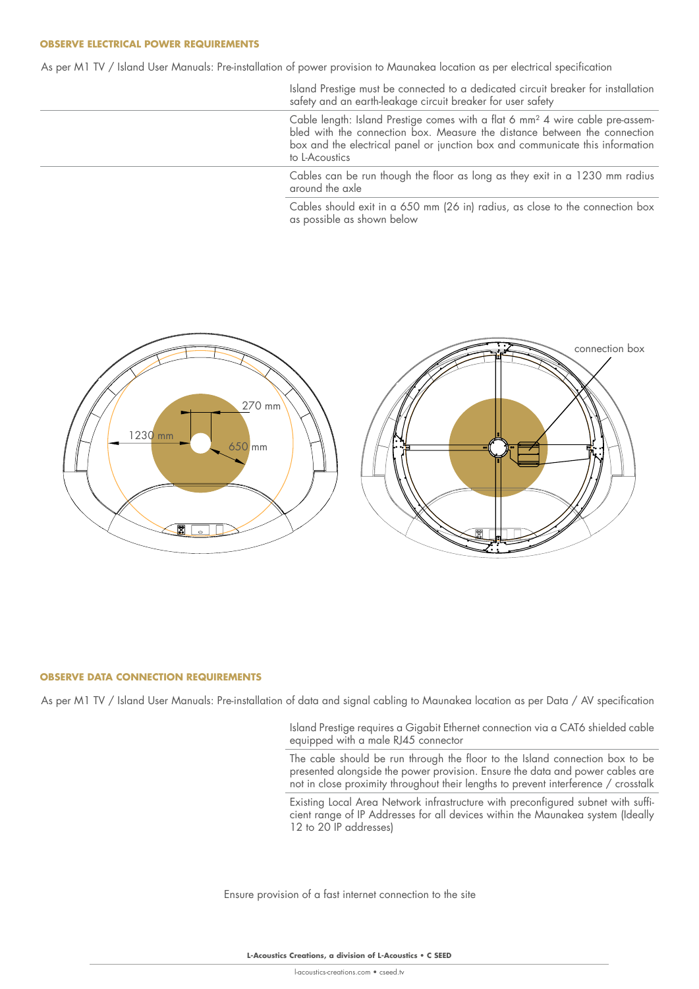#### **OBSERVE ELECTRICAL POWER REQUIREMENTS**

As per M1 TV / Island User Manuals: Pre-installation of power provision to Maunakea location as per electrical specification

Island Prestige must be connected to a dedicated circuit breaker for installation safety and an earth-leakage circuit breaker for user safety

Cable length: Island Prestige comes with a flat 6 mm² 4 wire cable pre-assembled with the connection box. Measure the distance between the connection box and the electrical panel or junction box and communicate this information to L-Acoustics

Cables can be run though the floor as long as they exit in a 1230 mm radius around the axle

Cables should exit in a 650 mm (26 in) radius, as close to the connection box as possible as shown below



#### **OBSERVE DATA CONNECTION REQUIREMENTS**

As per M1 TV / Island User Manuals: Pre-installation of data and signal cabling to Maunakea location as per Data / AV specification

Island Prestige requires a Gigabit Ethernet connection via a CAT6 shielded cable equipped with a male RJ45 connector

The cable should be run through the floor to the Island connection box to be presented alongside the power provision. Ensure the data and power cables are not in close proximity throughout their lengths to prevent interference / crosstalk

Existing Local Area Network infrastructure with preconfigured subnet with sufficient range of IP Addresses for all devices within the Maunakea system (Ideally 12 to 20 IP addresses)

Ensure provision of a fast internet connection to the site

**L-Acoustics Creations, a division of L-Acoustics** • **C SEED**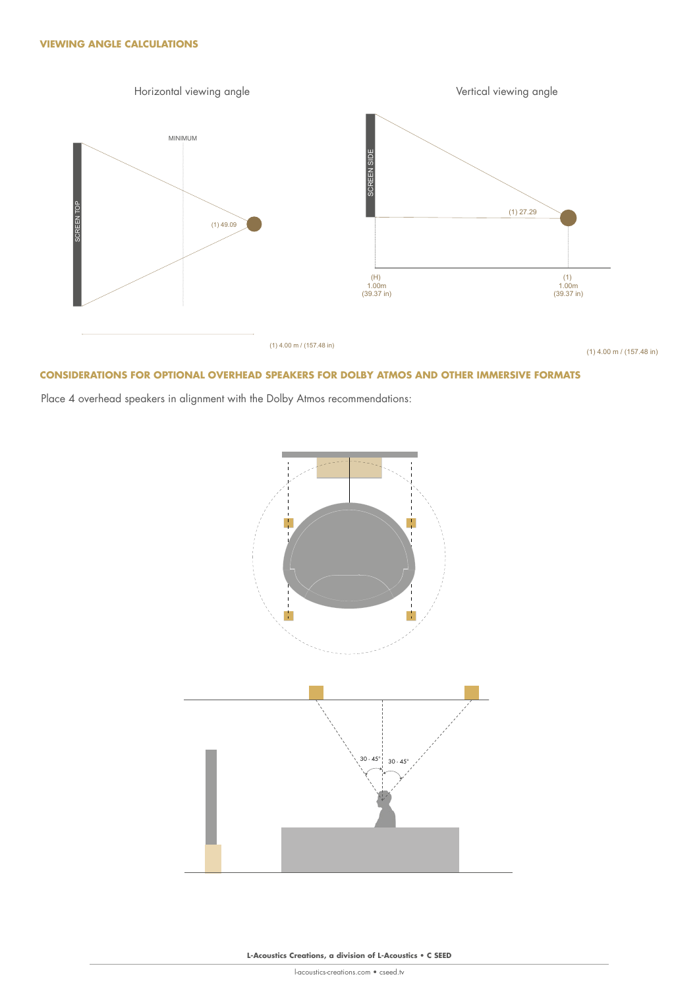

#### **CONSIDERATIONS FOR OPTIONAL OVERHEAD SPEAKERS FOR DOLBY ATMOS AND OTHER IMMERSIVE FORMATS**

Place 4 overhead speakers in alignment with the Dolby Atmos recommendations:

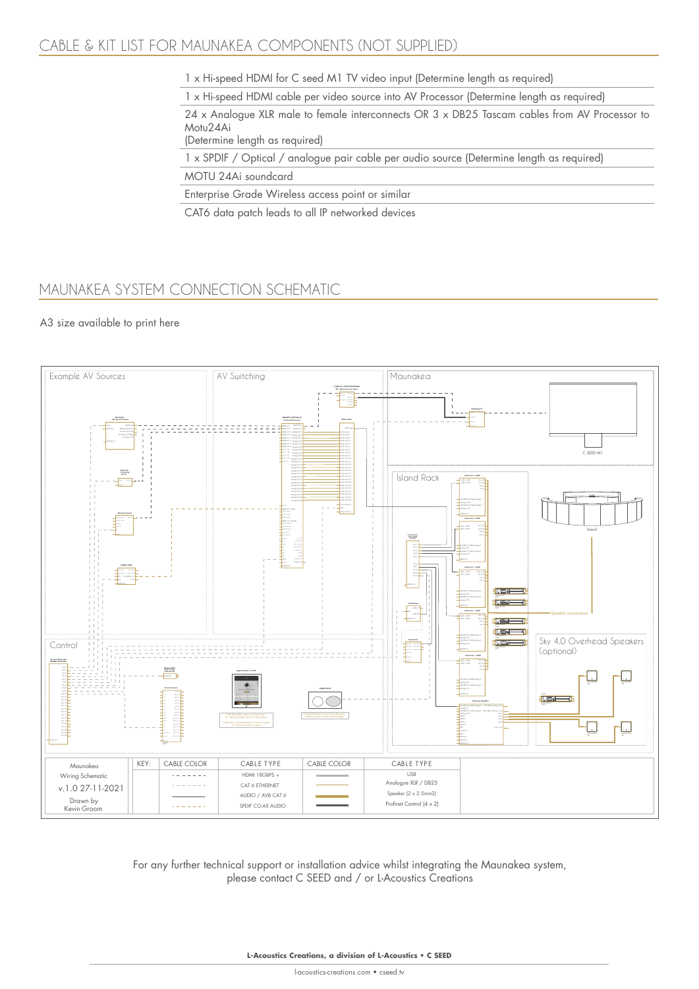# CABLE & KIT LIST FOR MAUNAKEA COMPONENTS (NOT SUPPLIED)

1 x Hi-speed HDMI for C seed M1 TV video input (Determine length as required)

1 x Hi-speed HDMI cable per video source into AV Processor (Determine length as required)

24 x Analogue XLR male to female interconnects OR 3 x DB25 Tascam cables from AV Processor to Motu24Ai

(Determine length as required)

1 x SPDIF / Optical / analogue pair cable per audio source (Determine length as required)

MOTU 24Ai soundcard

Enterprise Grade Wireless access point or similar

CAT6 data patch leads to all IP networked devices

# MAUNAKEA SYSTEM CONNECTION SCHEMATIC

## A3 size available to print here



For any further technical support or installation advice whilst integrating the Maunakea system, please contact C SEED and / or L-Acoustics Creations